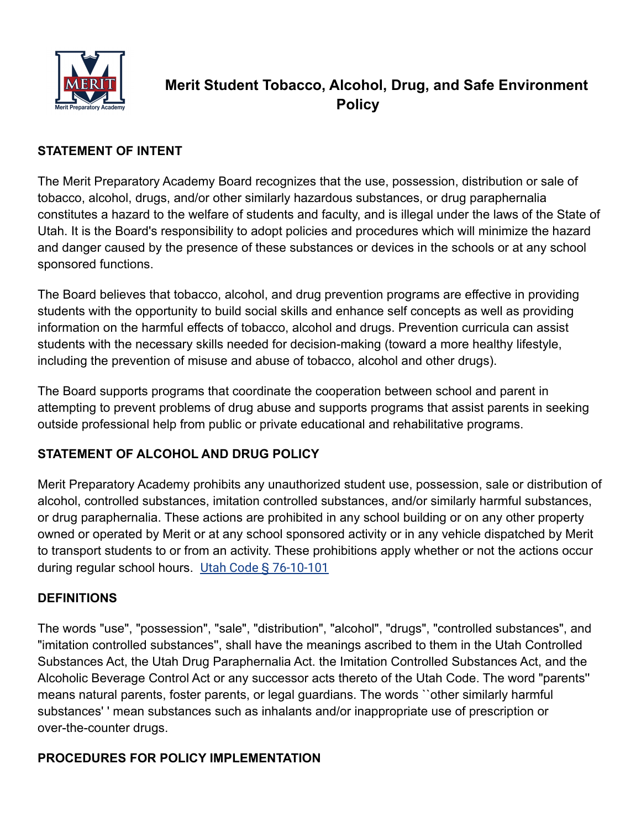

# **Merit Student Tobacco, Alcohol, Drug, and Safe Environment Policy**

#### **STATEMENT OF INTENT**

The Merit Preparatory Academy Board recognizes that the use, possession, distribution or sale of tobacco, alcohol, drugs, and/or other similarly hazardous substances, or drug paraphernalia constitutes a hazard to the welfare of students and faculty, and is illegal under the laws of the State of Utah. It is the Board's responsibility to adopt policies and procedures which will minimize the hazard and danger caused by the presence of these substances or devices in the schools or at any school sponsored functions.

The Board believes that tobacco, alcohol, and drug prevention programs are effective in providing students with the opportunity to build social skills and enhance self concepts as well as providing information on the harmful effects of tobacco, alcohol and drugs. Prevention curricula can assist students with the necessary skills needed for decision-making (toward a more healthy lifestyle, including the prevention of misuse and abuse of tobacco, alcohol and other drugs).

The Board supports programs that coordinate the cooperation between school and parent in attempting to prevent problems of drug abuse and supports programs that assist parents in seeking outside professional help from public or private educational and rehabilitative programs.

# **STATEMENT OF ALCOHOL AND DRUG POLICY**

Merit Preparatory Academy prohibits any unauthorized student use, possession, sale or distribution of alcohol, controlled substances, imitation controlled substances, and/or similarly harmful substances, or drug paraphernalia. These actions are prohibited in any school building or on any other property owned or operated by Merit or at any school sponsored activity or in any vehicle dispatched by Merit to transport students to or from an activity. These prohibitions apply whether or not the actions occur during regular school hours. [Utah Code § 76-10-101](https://le.utah.gov/xcode/Title76/Chapter10/76-10-S101.html?v=C76-10-S101_2020051220200701)

#### **DEFINITIONS**

The words "use", "possession", "sale", "distribution", "alcohol", "drugs", "controlled substances", and "imitation controlled substances'', shall have the meanings ascribed to them in the Utah Controlled Substances Act, the Utah Drug Paraphernalia Act. the Imitation Controlled Substances Act, and the Alcoholic Beverage Control Act or any successor acts thereto of the Utah Code. The word "parents'' means natural parents, foster parents, or legal guardians. The words ``other similarly harmful substances' ' mean substances such as inhalants and/or inappropriate use of prescription or over-the-counter drugs.

#### **PROCEDURES FOR POLICY IMPLEMENTATION**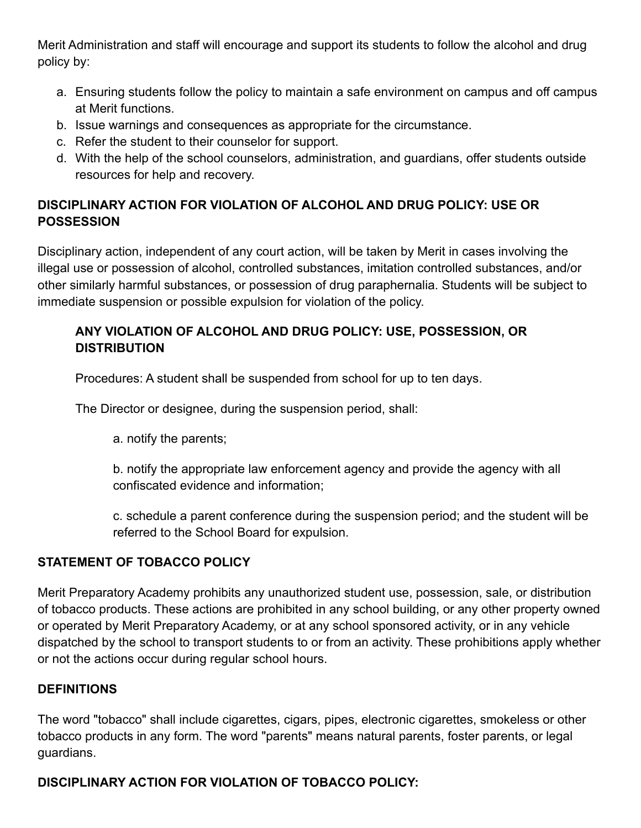Merit Administration and staff will encourage and support its students to follow the alcohol and drug policy by:

- a. Ensuring students follow the policy to maintain a safe environment on campus and off campus at Merit functions.
- b. Issue warnings and consequences as appropriate for the circumstance.
- c. Refer the student to their counselor for support.
- d. With the help of the school counselors, administration, and guardians, offer students outside resources for help and recovery.

# **DISCIPLINARY ACTION FOR VIOLATION OF ALCOHOL AND DRUG POLICY: USE OR POSSESSION**

Disciplinary action, independent of any court action, will be taken by Merit in cases involving the illegal use or possession of alcohol, controlled substances, imitation controlled substances, and/or other similarly harmful substances, or possession of drug paraphernalia. Students will be subject to immediate suspension or possible expulsion for violation of the policy.

# **ANY VIOLATION OF ALCOHOL AND DRUG POLICY: USE, POSSESSION, OR DISTRIBUTION**

Procedures: A student shall be suspended from school for up to ten days.

The Director or designee, during the suspension period, shall:

a. notify the parents;

b. notify the appropriate law enforcement agency and provide the agency with all confiscated evidence and information;

c. schedule a parent conference during the suspension period; and the student will be referred to the School Board for expulsion.

# **STATEMENT OF TOBACCO POLICY**

Merit Preparatory Academy prohibits any unauthorized student use, possession, sale, or distribution of tobacco products. These actions are prohibited in any school building, or any other property owned or operated by Merit Preparatory Academy, or at any school sponsored activity, or in any vehicle dispatched by the school to transport students to or from an activity. These prohibitions apply whether or not the actions occur during regular school hours.

#### **DEFINITIONS**

The word "tobacco" shall include cigarettes, cigars, pipes, electronic cigarettes, smokeless or other tobacco products in any form. The word "parents" means natural parents, foster parents, or legal guardians.

# **DISCIPLINARY ACTION FOR VIOLATION OF TOBACCO POLICY:**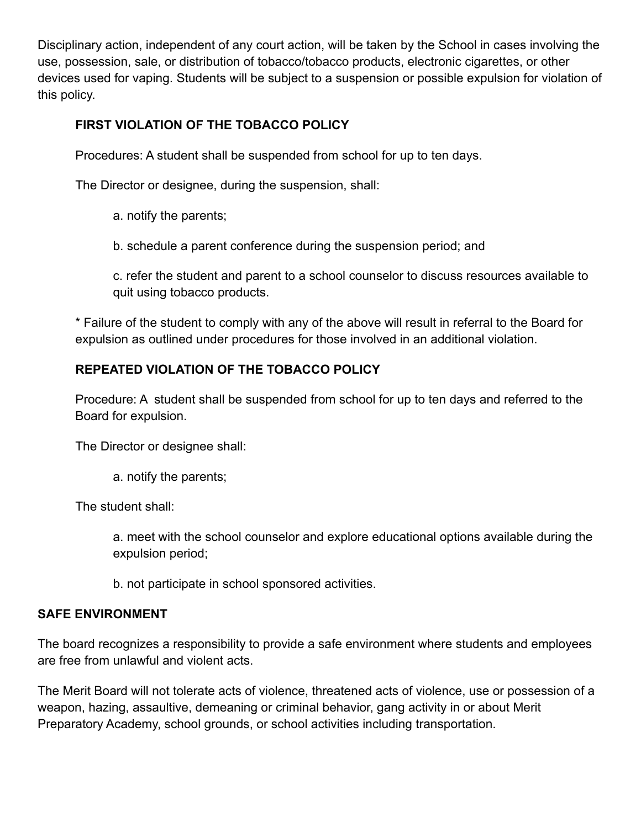Disciplinary action, independent of any court action, will be taken by the School in cases involving the use, possession, sale, or distribution of tobacco/tobacco products, electronic cigarettes, or other devices used for vaping. Students will be subject to a suspension or possible expulsion for violation of this policy.

# **FIRST VIOLATION OF THE TOBACCO POLICY**

Procedures: A student shall be suspended from school for up to ten days.

The Director or designee, during the suspension, shall:

a. notify the parents;

b. schedule a parent conference during the suspension period; and

c. refer the student and parent to a school counselor to discuss resources available to quit using tobacco products.

\* Failure of the student to comply with any of the above will result in referral to the Board for expulsion as outlined under procedures for those involved in an additional violation.

# **REPEATED VIOLATION OF THE TOBACCO POLICY**

Procedure: A student shall be suspended from school for up to ten days and referred to the Board for expulsion.

The Director or designee shall:

a. notify the parents;

The student shall:

a. meet with the school counselor and explore educational options available during the expulsion period;

b. not participate in school sponsored activities.

#### **SAFE ENVIRONMENT**

The board recognizes a responsibility to provide a safe environment where students and employees are free from unlawful and violent acts.

The Merit Board will not tolerate acts of violence, threatened acts of violence, use or possession of a weapon, hazing, assaultive, demeaning or criminal behavior, gang activity in or about Merit Preparatory Academy, school grounds, or school activities including transportation.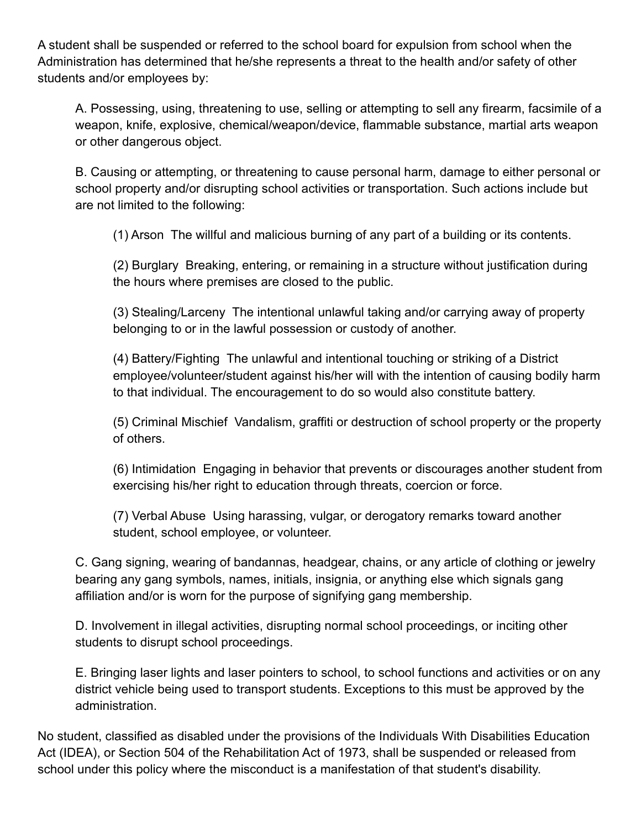A student shall be suspended or referred to the school board for expulsion from school when the Administration has determined that he/she represents a threat to the health and/or safety of other students and/or employees by:

A. Possessing, using, threatening to use, selling or attempting to sell any firearm, facsimile of a weapon, knife, explosive, chemical/weapon/device, flammable substance, martial arts weapon or other dangerous object.

B. Causing or attempting, or threatening to cause personal harm, damage to either personal or school property and/or disrupting school activities or transportation. Such actions include but are not limited to the following:

(1) Arson The willful and malicious burning of any part of a building or its contents.

(2) Burglary Breaking, entering, or remaining in a structure without justification during the hours where premises are closed to the public.

(3) Stealing/Larceny The intentional unlawful taking and/or carrying away of property belonging to or in the lawful possession or custody of another.

(4) Battery/Fighting The unlawful and intentional touching or striking of a District employee/volunteer/student against his/her will with the intention of causing bodily harm to that individual. The encouragement to do so would also constitute battery.

(5) Criminal Mischief Vandalism, graffiti or destruction of school property or the property of others.

(6) Intimidation Engaging in behavior that prevents or discourages another student from exercising his/her right to education through threats, coercion or force.

(7) Verbal Abuse Using harassing, vulgar, or derogatory remarks toward another student, school employee, or volunteer.

C. Gang signing, wearing of bandannas, headgear, chains, or any article of clothing or jewelry bearing any gang symbols, names, initials, insignia, or anything else which signals gang affiliation and/or is worn for the purpose of signifying gang membership.

D. Involvement in illegal activities, disrupting normal school proceedings, or inciting other students to disrupt school proceedings.

E. Bringing laser lights and laser pointers to school, to school functions and activities or on any district vehicle being used to transport students. Exceptions to this must be approved by the administration.

No student, classified as disabled under the provisions of the Individuals With Disabilities Education Act (IDEA), or Section 504 of the Rehabilitation Act of 1973, shall be suspended or released from school under this policy where the misconduct is a manifestation of that student's disability.